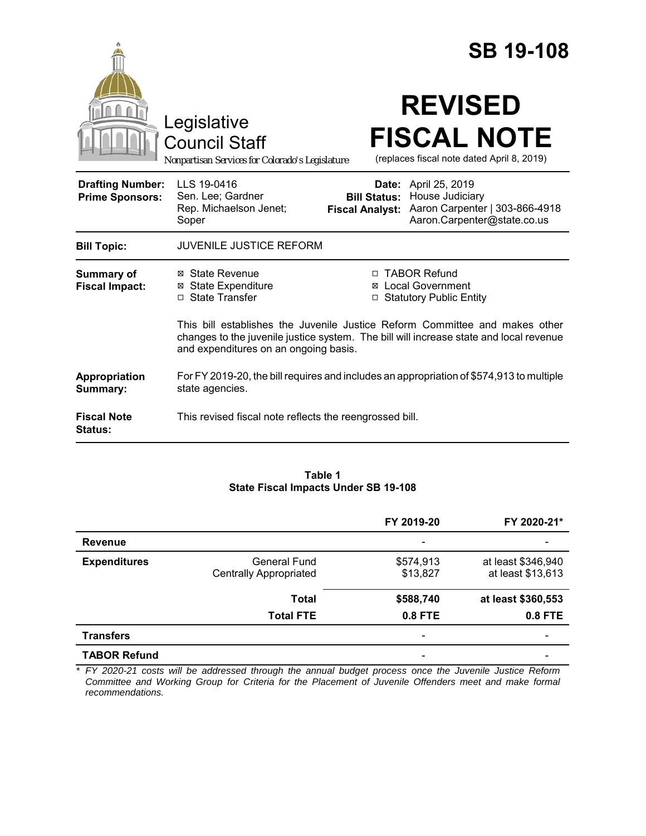|                                                   |                                                                                                                                                                                                                |                                                                                         | <b>SB 19-108</b>                                                                                                |
|---------------------------------------------------|----------------------------------------------------------------------------------------------------------------------------------------------------------------------------------------------------------------|-----------------------------------------------------------------------------------------|-----------------------------------------------------------------------------------------------------------------|
|                                                   | Legislative<br><b>Council Staff</b><br>Nonpartisan Services for Colorado's Legislature                                                                                                                         |                                                                                         | <b>REVISED</b><br><b>FISCAL NOTE</b><br>(replaces fiscal note dated April 8, 2019)                              |
| <b>Drafting Number:</b><br><b>Prime Sponsors:</b> | LLS 19-0416<br>Sen. Lee; Gardner<br>Rep. Michaelson Jenet;<br>Soper                                                                                                                                            | <b>Bill Status:</b><br><b>Fiscal Analyst:</b>                                           | <b>Date:</b> April 25, 2019<br>House Judiciary<br>Aaron Carpenter   303-866-4918<br>Aaron.Carpenter@state.co.us |
| <b>Bill Topic:</b>                                | <b>JUVENILE JUSTICE REFORM</b>                                                                                                                                                                                 |                                                                                         |                                                                                                                 |
| <b>Summary of</b><br><b>Fiscal Impact:</b>        | ⊠ State Revenue<br><b>⊠ State Expenditure</b><br>□ State Transfer                                                                                                                                              | □ TABOR Refund<br><b>⊠</b> Local Government<br><b>Statutory Public Entity</b><br>$\Box$ |                                                                                                                 |
|                                                   | This bill establishes the Juvenile Justice Reform Committee and makes other<br>changes to the juvenile justice system. The bill will increase state and local revenue<br>and expenditures on an ongoing basis. |                                                                                         |                                                                                                                 |
| Appropriation<br>Summary:                         | For FY 2019-20, the bill requires and includes an appropriation of \$574,913 to multiple<br>state agencies.                                                                                                    |                                                                                         |                                                                                                                 |
| <b>Fiscal Note</b><br><b>Status:</b>              | This revised fiscal note reflects the reengrossed bill.                                                                                                                                                        |                                                                                         |                                                                                                                 |

#### **Table 1 State Fiscal Impacts Under SB 19-108**

|                     |                               | FY 2019-20               | FY 2020-21*        |
|---------------------|-------------------------------|--------------------------|--------------------|
| <b>Revenue</b>      |                               | -                        |                    |
| <b>Expenditures</b> | General Fund                  | \$574,913                | at least \$346,940 |
|                     | <b>Centrally Appropriated</b> | \$13,827                 | at least \$13,613  |
|                     | Total                         | \$588,740                | at least \$360,553 |
|                     | <b>Total FTE</b>              | 0.8 FTE                  | 0.8 FTE            |
| <b>Transfers</b>    |                               | $\overline{\phantom{a}}$ |                    |
| <b>TABOR Refund</b> |                               | $\overline{\phantom{a}}$ |                    |

*\* FY 2020-21 costs will be addressed through the annual budget process once the Juvenile Justice Reform Committee and Working Group for Criteria for the Placement of Juvenile Offenders meet and make formal recommendations.*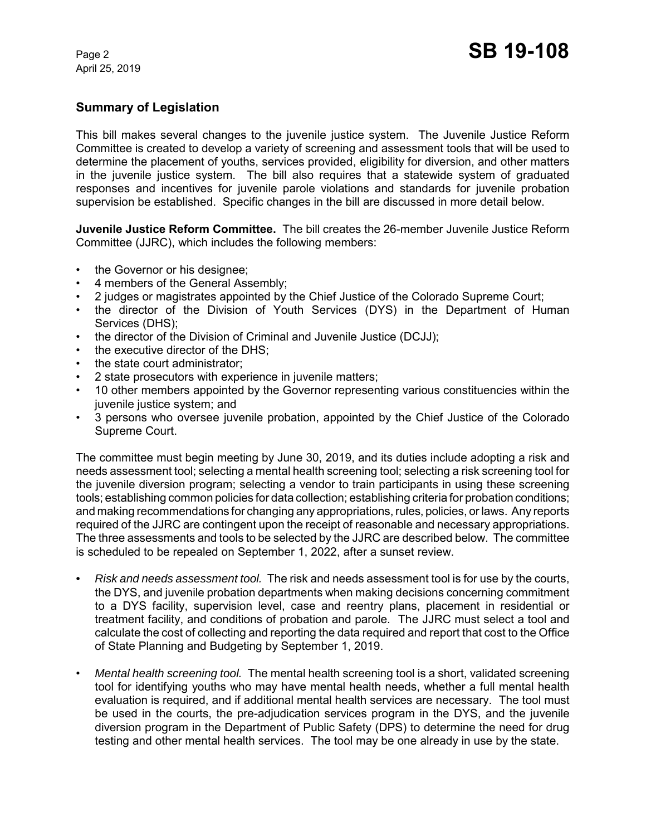# **Summary of Legislation**

This bill makes several changes to the juvenile justice system. The Juvenile Justice Reform Committee is created to develop a variety of screening and assessment tools that will be used to determine the placement of youths, services provided, eligibility for diversion, and other matters in the juvenile justice system. The bill also requires that a statewide system of graduated responses and incentives for juvenile parole violations and standards for juvenile probation supervision be established. Specific changes in the bill are discussed in more detail below.

**Juvenile Justice Reform Committee.** The bill creates the 26-member Juvenile Justice Reform Committee (JJRC), which includes the following members:

- the Governor or his designee;
- 4 members of the General Assembly;
- 2 judges or magistrates appointed by the Chief Justice of the Colorado Supreme Court;
- the director of the Division of Youth Services (DYS) in the Department of Human Services (DHS);
- the director of the Division of Criminal and Juvenile Justice (DCJJ);
- the executive director of the DHS;
- the state court administrator:
- 2 state prosecutors with experience in juvenile matters;
- 10 other members appointed by the Governor representing various constituencies within the juvenile justice system; and
- 3 persons who oversee juvenile probation, appointed by the Chief Justice of the Colorado Supreme Court.

The committee must begin meeting by June 30, 2019, and its duties include adopting a risk and needs assessment tool; selecting a mental health screening tool; selecting a risk screening tool for the juvenile diversion program; selecting a vendor to train participants in using these screening tools; establishing common policies for data collection; establishing criteria for probation conditions; and making recommendations for changing any appropriations, rules, policies, or laws. Any reports required of the JJRC are contingent upon the receipt of reasonable and necessary appropriations. The three assessments and tools to be selected by the JJRC are described below. The committee is scheduled to be repealed on September 1, 2022, after a sunset review.

- *• Risk and needs assessment tool.*The risk and needs assessment tool is for use by the courts, the DYS, and juvenile probation departments when making decisions concerning commitment to a DYS facility, supervision level, case and reentry plans, placement in residential or treatment facility, and conditions of probation and parole. The JJRC must select a tool and calculate the cost of collecting and reporting the data required and report that cost to the Office of State Planning and Budgeting by September 1, 2019.
- *Mental health screening tool.*The mental health screening tool is a short, validated screening tool for identifying youths who may have mental health needs, whether a full mental health evaluation is required, and if additional mental health services are necessary. The tool must be used in the courts, the pre-adjudication services program in the DYS, and the juvenile diversion program in the Department of Public Safety (DPS) to determine the need for drug testing and other mental health services. The tool may be one already in use by the state.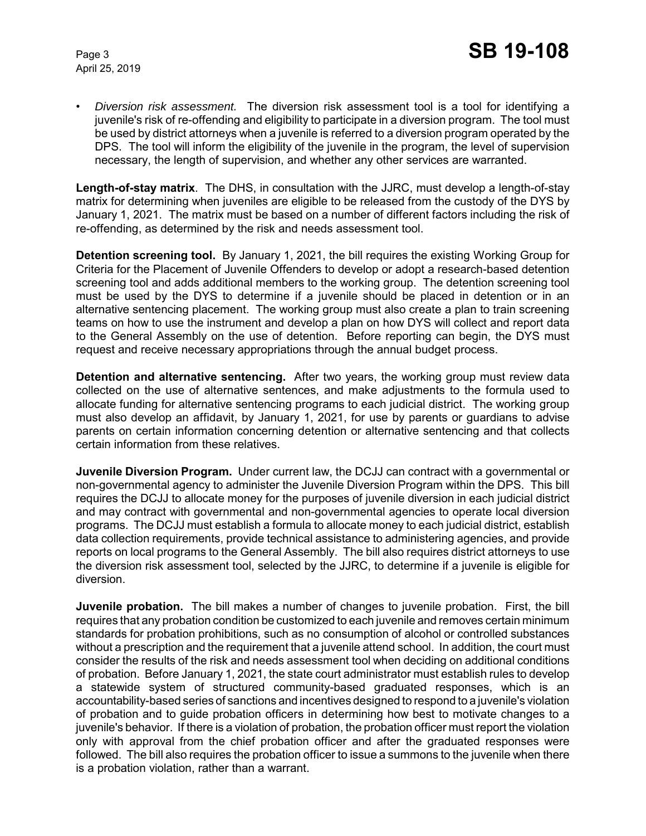• *Diversion risk assessment.* The diversion risk assessment tool is a tool for identifying a juvenile's risk of re-offending and eligibility to participate in a diversion program. The tool must be used by district attorneys when a juvenile is referred to a diversion program operated by the DPS. The tool will inform the eligibility of the juvenile in the program, the level of supervision necessary, the length of supervision, and whether any other services are warranted.

**Length-of-stay matrix**. The DHS, in consultation with the JJRC, must develop a length-of-stay matrix for determining when juveniles are eligible to be released from the custody of the DYS by January 1, 2021. The matrix must be based on a number of different factors including the risk of re-offending, as determined by the risk and needs assessment tool.

**Detention screening tool.** By January 1, 2021, the bill requires the existing Working Group for Criteria for the Placement of Juvenile Offenders to develop or adopt a research-based detention screening tool and adds additional members to the working group. The detention screening tool must be used by the DYS to determine if a juvenile should be placed in detention or in an alternative sentencing placement. The working group must also create a plan to train screening teams on how to use the instrument and develop a plan on how DYS will collect and report data to the General Assembly on the use of detention. Before reporting can begin, the DYS must request and receive necessary appropriations through the annual budget process.

**Detention and alternative sentencing.** After two years, the working group must review data collected on the use of alternative sentences, and make adjustments to the formula used to allocate funding for alternative sentencing programs to each judicial district. The working group must also develop an affidavit, by January 1, 2021, for use by parents or guardians to advise parents on certain information concerning detention or alternative sentencing and that collects certain information from these relatives.

**Juvenile Diversion Program.** Under current law, the DCJJ can contract with a governmental or non-governmental agency to administer the Juvenile Diversion Program within the DPS. This bill requires the DCJJ to allocate money for the purposes of juvenile diversion in each judicial district and may contract with governmental and non-governmental agencies to operate local diversion programs. The DCJJ must establish a formula to allocate money to each judicial district, establish data collection requirements, provide technical assistance to administering agencies, and provide reports on local programs to the General Assembly. The bill also requires district attorneys to use the diversion risk assessment tool, selected by the JJRC, to determine if a juvenile is eligible for diversion.

**Juvenile probation.** The bill makes a number of changes to juvenile probation. First, the bill requires that any probation condition be customized to each juvenile and removes certain minimum standards for probation prohibitions, such as no consumption of alcohol or controlled substances without a prescription and the requirement that a juvenile attend school. In addition, the court must consider the results of the risk and needs assessment tool when deciding on additional conditions of probation. Before January 1, 2021, the state court administrator must establish rules to develop a statewide system of structured community-based graduated responses, which is an accountability-based series of sanctions and incentives designed to respond to a juvenile's violation of probation and to guide probation officers in determining how best to motivate changes to a juvenile's behavior. If there is a violation of probation, the probation officer must report the violation only with approval from the chief probation officer and after the graduated responses were followed. The bill also requires the probation officer to issue a summons to the juvenile when there is a probation violation, rather than a warrant.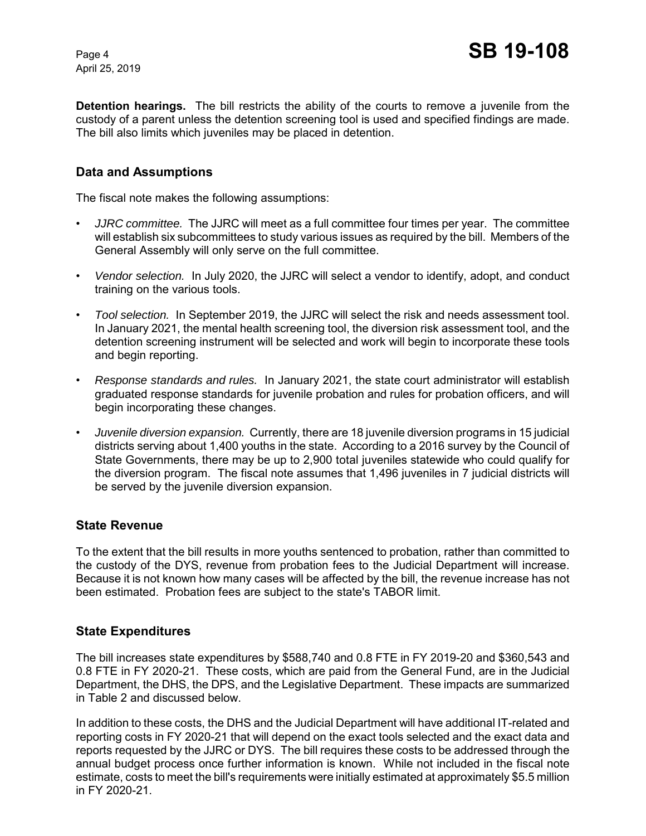**Detention hearings.** The bill restricts the ability of the courts to remove a juvenile from the custody of a parent unless the detention screening tool is used and specified findings are made. The bill also limits which juveniles may be placed in detention.

### **Data and Assumptions**

The fiscal note makes the following assumptions:

- *JJRC committee.* The JJRC will meet as a full committee four times per year. The committee will establish six subcommittees to study various issues as required by the bill. Members of the General Assembly will only serve on the full committee.
- *Vendor selection.* In July 2020, the JJRC will select a vendor to identify, adopt, and conduct training on the various tools.
- *Tool selection.* In September 2019, the JJRC will select the risk and needs assessment tool. In January 2021, the mental health screening tool, the diversion risk assessment tool, and the detention screening instrument will be selected and work will begin to incorporate these tools and begin reporting.
- *Response standards and rules.* In January 2021, the state court administrator will establish graduated response standards for juvenile probation and rules for probation officers, and will begin incorporating these changes.
- *Juvenile diversion expansion.* Currently, there are 18 juvenile diversion programs in 15 judicial districts serving about 1,400 youths in the state. According to a 2016 survey by the Council of State Governments, there may be up to 2,900 total juveniles statewide who could qualify for the diversion program. The fiscal note assumes that 1,496 juveniles in 7 judicial districts will be served by the juvenile diversion expansion.

### **State Revenue**

To the extent that the bill results in more youths sentenced to probation, rather than committed to the custody of the DYS, revenue from probation fees to the Judicial Department will increase. Because it is not known how many cases will be affected by the bill, the revenue increase has not been estimated. Probation fees are subject to the state's TABOR limit.

### **State Expenditures**

The bill increases state expenditures by \$588,740 and 0.8 FTE in FY 2019-20 and \$360,543 and 0.8 FTE in FY 2020-21. These costs, which are paid from the General Fund, are in the Judicial Department, the DHS, the DPS, and the Legislative Department. These impacts are summarized in Table 2 and discussed below.

In addition to these costs, the DHS and the Judicial Department will have additional IT-related and reporting costs in FY 2020-21 that will depend on the exact tools selected and the exact data and reports requested by the JJRC or DYS. The bill requires these costs to be addressed through the annual budget process once further information is known. While not included in the fiscal note estimate, costs to meet the bill's requirements were initially estimated at approximately \$5.5 million in FY 2020-21.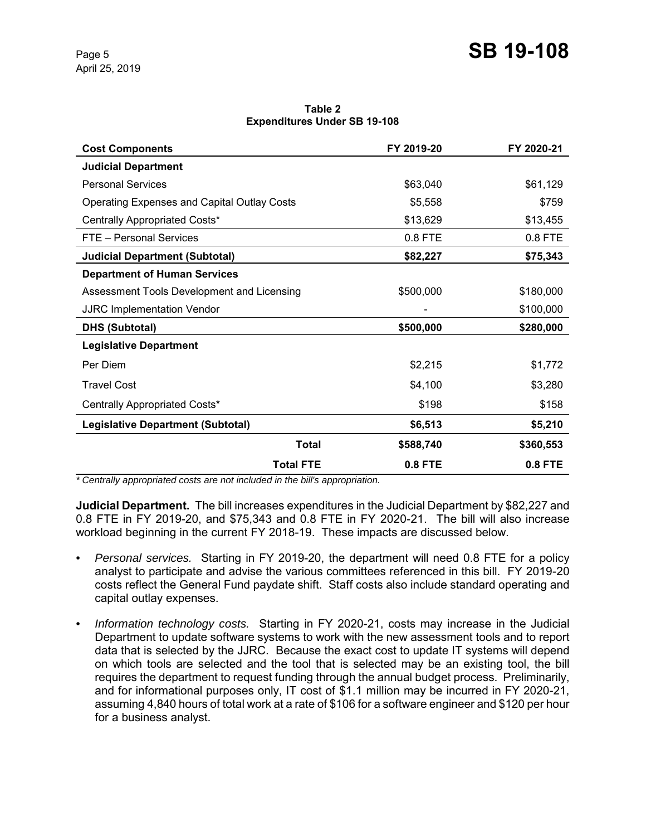**Table 2 Expenditures Under SB 19-108**

| <b>Cost Components</b>                             | FY 2019-20     | FY 2020-21 |
|----------------------------------------------------|----------------|------------|
| <b>Judicial Department</b>                         |                |            |
| <b>Personal Services</b>                           | \$63,040       | \$61,129   |
| <b>Operating Expenses and Capital Outlay Costs</b> | \$5,558        | \$759      |
| Centrally Appropriated Costs*                      | \$13,629       | \$13,455   |
| FTE - Personal Services                            | $0.8$ FTE      | 0.8 FTE    |
| <b>Judicial Department (Subtotal)</b>              | \$82,227       | \$75,343   |
| <b>Department of Human Services</b>                |                |            |
| Assessment Tools Development and Licensing         | \$500,000      | \$180,000  |
| <b>JJRC Implementation Vendor</b>                  |                | \$100,000  |
| <b>DHS (Subtotal)</b>                              | \$500,000      | \$280,000  |
| <b>Legislative Department</b>                      |                |            |
| Per Diem                                           | \$2,215        | \$1,772    |
| <b>Travel Cost</b>                                 | \$4,100        | \$3,280    |
| Centrally Appropriated Costs*                      | \$198          | \$158      |
| <b>Legislative Department (Subtotal)</b>           | \$6,513        | \$5,210    |
| <b>Total</b>                                       | \$588,740      | \$360,553  |
| <b>Total FTE</b>                                   | <b>0.8 FTE</b> | 0.8 FTE    |

*\* Centrally appropriated costs are not included in the bill's appropriation.*

**Judicial Department.** The bill increases expenditures in the Judicial Department by \$82,227 and 0.8 FTE in FY 2019-20, and \$75,343 and 0.8 FTE in FY 2020-21. The bill will also increase workload beginning in the current FY 2018-19. These impacts are discussed below.

- *• Personal services.* Starting in FY 2019-20, the department will need 0.8 FTE for a policy analyst to participate and advise the various committees referenced in this bill. FY 2019-20 costs reflect the General Fund paydate shift. Staff costs also include standard operating and capital outlay expenses.
- *• Information technology costs.* Starting in FY 2020-21, costs may increase in the Judicial Department to update software systems to work with the new assessment tools and to report data that is selected by the JJRC. Because the exact cost to update IT systems will depend on which tools are selected and the tool that is selected may be an existing tool, the bill requires the department to request funding through the annual budget process. Preliminarily, and for informational purposes only, IT cost of \$1.1 million may be incurred in FY 2020-21, assuming 4,840 hours of total work at a rate of \$106 for a software engineer and \$120 per hour for a business analyst.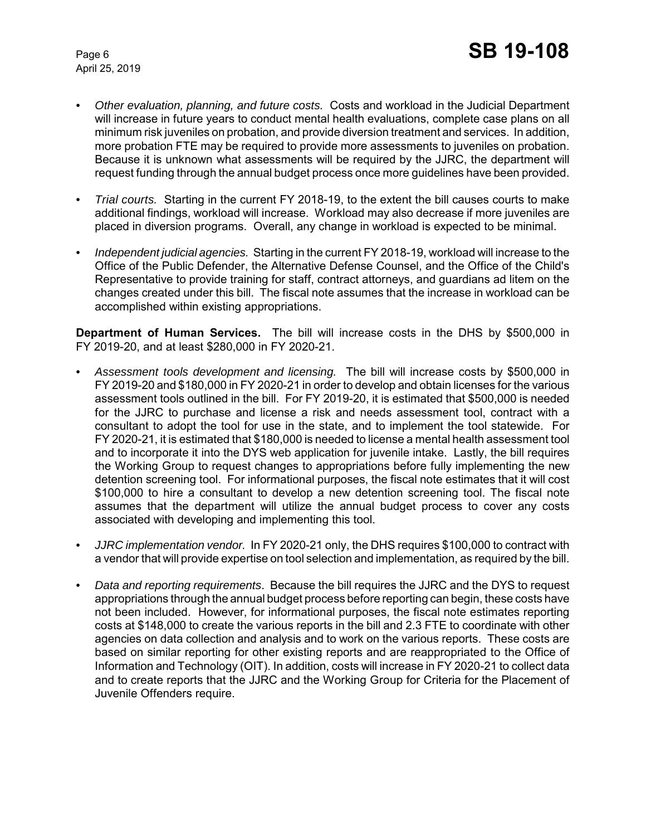- *• Other evaluation, planning, and future costs.* Costs and workload in the Judicial Department will increase in future years to conduct mental health evaluations, complete case plans on all minimum risk juveniles on probation, and provide diversion treatment and services. In addition, more probation FTE may be required to provide more assessments to juveniles on probation. Because it is unknown what assessments will be required by the JJRC, the department will request funding through the annual budget process once more guidelines have been provided.
- *• Trial courts.* Starting in the current FY 2018-19, to the extent the bill causes courts to make additional findings, workload will increase. Workload may also decrease if more juveniles are placed in diversion programs. Overall, any change in workload is expected to be minimal.
- *• Independent judicial agencies.* Starting in the current FY 2018-19, workload will increase to the Office of the Public Defender, the Alternative Defense Counsel, and the Office of the Child's Representative to provide training for staff, contract attorneys, and guardians ad litem on the changes created under this bill. The fiscal note assumes that the increase in workload can be accomplished within existing appropriations.

**Department of Human Services.** The bill will increase costs in the DHS by \$500,000 in FY 2019-20, and at least \$280,000 in FY 2020-21.

- *• Assessment tools development and licensing.* The bill will increase costs by \$500,000 in FY 2019-20 and \$180,000 in FY 2020-21 in order to develop and obtain licenses for the various assessment tools outlined in the bill. For FY 2019-20, it is estimated that \$500,000 is needed for the JJRC to purchase and license a risk and needs assessment tool, contract with a consultant to adopt the tool for use in the state, and to implement the tool statewide. For FY 2020-21, it is estimated that \$180,000 is needed to license a mental health assessment tool and to incorporate it into the DYS web application for juvenile intake. Lastly, the bill requires the Working Group to request changes to appropriations before fully implementing the new detention screening tool. For informational purposes, the fiscal note estimates that it will cost \$100,000 to hire a consultant to develop a new detention screening tool. The fiscal note assumes that the department will utilize the annual budget process to cover any costs associated with developing and implementing this tool.
- *• JJRC implementation vendor.* In FY 2020-21 only, the DHS requires \$100,000 to contract with a vendor that will provide expertise on tool selection and implementation, as required by the bill.
- *• Data and reporting requirements*. Because the bill requires the JJRC and the DYS to request appropriations through the annual budget process before reporting can begin, these costs have not been included. However, for informational purposes, the fiscal note estimates reporting costs at \$148,000 to create the various reports in the bill and 2.3 FTE to coordinate with other agencies on data collection and analysis and to work on the various reports. These costs are based on similar reporting for other existing reports and are reappropriated to the Office of Information and Technology (OIT). In addition, costs will increase in FY 2020-21 to collect data and to create reports that the JJRC and the Working Group for Criteria for the Placement of Juvenile Offenders require.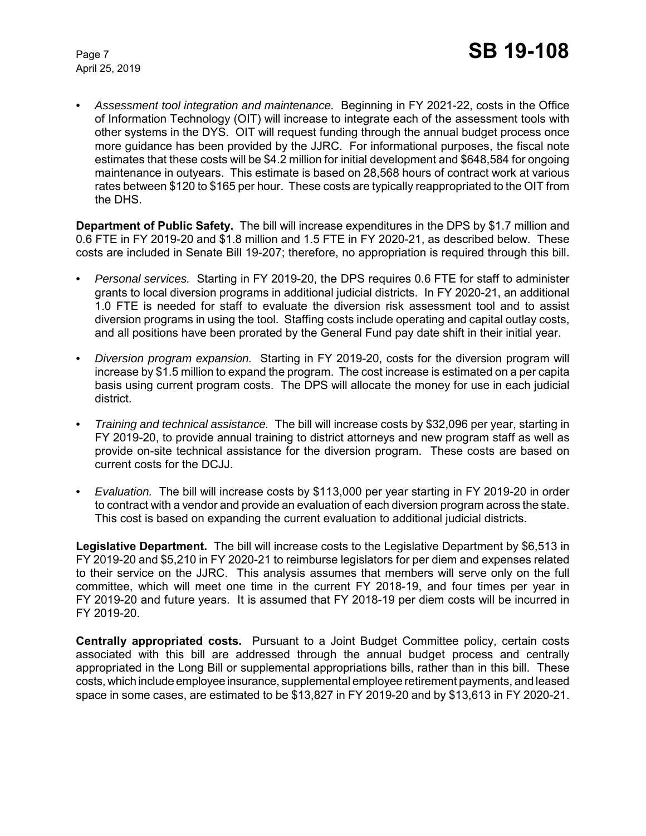*• Assessment tool integration and maintenance.* Beginning in FY 2021-22, costs in the Office of Information Technology (OIT) will increase to integrate each of the assessment tools with other systems in the DYS. OIT will request funding through the annual budget process once more guidance has been provided by the JJRC. For informational purposes, the fiscal note estimates that these costs will be \$4.2 million for initial development and \$648,584 for ongoing maintenance in outyears. This estimate is based on 28,568 hours of contract work at various rates between \$120 to \$165 per hour. These costs are typically reappropriated to the OIT from the DHS.

**Department of Public Safety.** The bill will increase expenditures in the DPS by \$1.7 million and 0.6 FTE in FY 2019-20 and \$1.8 million and 1.5 FTE in FY 2020-21, as described below. These costs are included in Senate Bill 19-207; therefore, no appropriation is required through this bill.

- *• Personal services.* Starting in FY 2019-20, the DPS requires 0.6 FTE for staff to administer grants to local diversion programs in additional judicial districts. In FY 2020-21, an additional 1.0 FTE is needed for staff to evaluate the diversion risk assessment tool and to assist diversion programs in using the tool. Staffing costs include operating and capital outlay costs, and all positions have been prorated by the General Fund pay date shift in their initial year.
- *• Diversion program expansion.* Starting in FY 2019-20, costs for the diversion program will increase by \$1.5 million to expand the program. The cost increase is estimated on a per capita basis using current program costs. The DPS will allocate the money for use in each judicial district.
- *• Training and technical assistance.* The bill will increase costs by \$32,096 per year, starting in FY 2019-20, to provide annual training to district attorneys and new program staff as well as provide on-site technical assistance for the diversion program. These costs are based on current costs for the DCJJ.
- *• Evaluation.* The bill will increase costs by \$113,000 per year starting in FY 2019-20 in order to contract with a vendor and provide an evaluation of each diversion program across the state. This cost is based on expanding the current evaluation to additional judicial districts.

**Legislative Department.** The bill will increase costs to the Legislative Department by \$6,513 in FY 2019-20 and \$5,210 in FY 2020-21 to reimburse legislators for per diem and expenses related to their service on the JJRC. This analysis assumes that members will serve only on the full committee, which will meet one time in the current FY 2018-19, and four times per year in FY 2019-20 and future years. It is assumed that FY 2018-19 per diem costs will be incurred in FY 2019-20.

**Centrally appropriated costs.** Pursuant to a Joint Budget Committee policy, certain costs associated with this bill are addressed through the annual budget process and centrally appropriated in the Long Bill or supplemental appropriations bills, rather than in this bill. These costs, which include employee insurance, supplemental employee retirement payments, and leased space in some cases, are estimated to be \$13,827 in FY 2019-20 and by \$13,613 in FY 2020-21.